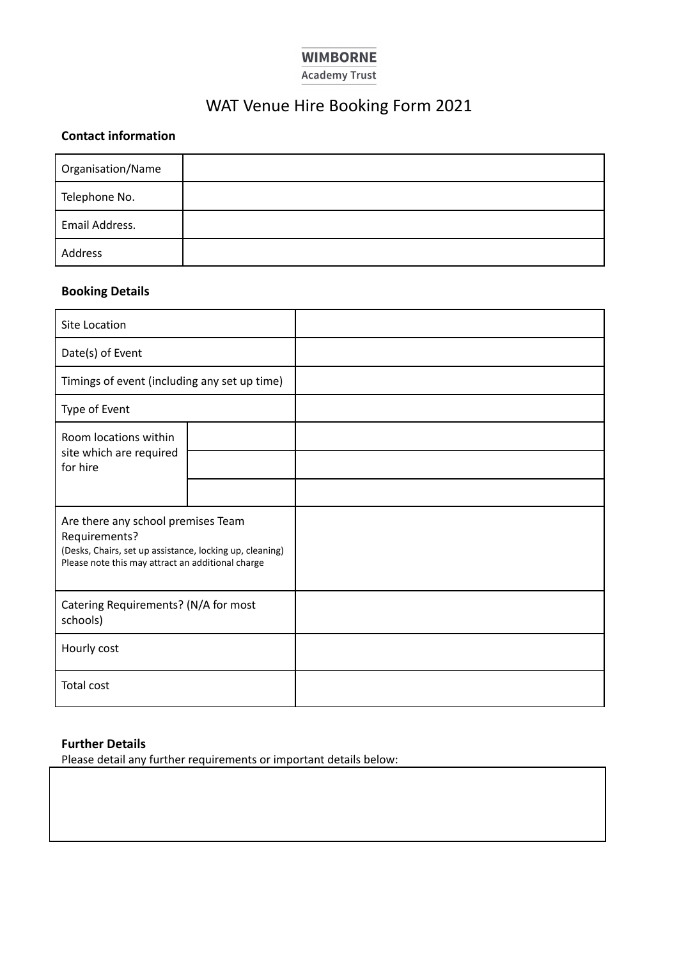# **WIMBORNE**

**Academy Trust** 

## WAT Venue Hire Booking Form 2021

## **Contact information**

| Organisation/Name |  |
|-------------------|--|
| Telephone No.     |  |
| Email Address.    |  |
| Address           |  |

#### **Booking Details**

| Site Location                                                                                                                                                        |  |  |
|----------------------------------------------------------------------------------------------------------------------------------------------------------------------|--|--|
| Date(s) of Event                                                                                                                                                     |  |  |
| Timings of event (including any set up time)                                                                                                                         |  |  |
| Type of Event                                                                                                                                                        |  |  |
| Room locations within<br>site which are required<br>for hire                                                                                                         |  |  |
|                                                                                                                                                                      |  |  |
| Are there any school premises Team<br>Requirements?<br>(Desks, Chairs, set up assistance, locking up, cleaning)<br>Please note this may attract an additional charge |  |  |
| Catering Requirements? (N/A for most<br>schools)                                                                                                                     |  |  |
| Hourly cost                                                                                                                                                          |  |  |
| Total cost                                                                                                                                                           |  |  |

### **Further Details**

Please detail any further requirements or important details below: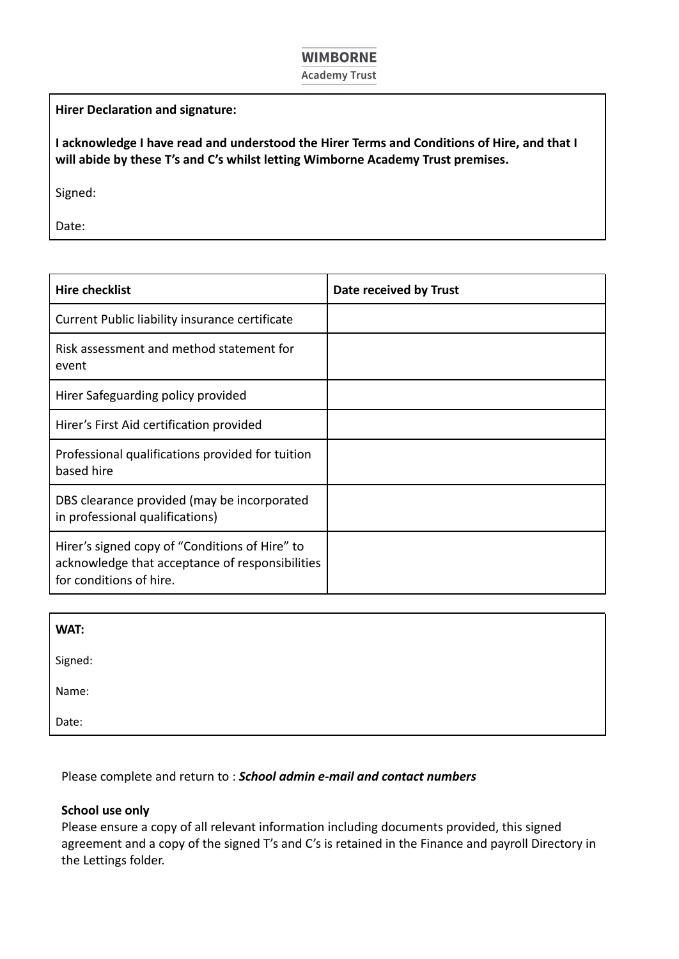#### **WIMBORNE**

**Academy Trust** 

**Hirer Declaration and signature:**

**I acknowledge I have read and understood the Hirer Terms and Conditions of Hire, and that I will abide by these T's and C's whilst letting Wimborne Academy Trust premises.**

Signed:

Date:

| <b>Hire checklist</b>                                                                                                        | Date received by Trust |
|------------------------------------------------------------------------------------------------------------------------------|------------------------|
| Current Public liability insurance certificate                                                                               |                        |
| Risk assessment and method statement for<br>event                                                                            |                        |
| Hirer Safeguarding policy provided                                                                                           |                        |
| Hirer's First Aid certification provided                                                                                     |                        |
| Professional qualifications provided for tuition<br>based hire                                                               |                        |
| DBS clearance provided (may be incorporated<br>in professional qualifications)                                               |                        |
| Hirer's signed copy of "Conditions of Hire" to<br>acknowledge that acceptance of responsibilities<br>for conditions of hire. |                        |

| WAT:    |  |  |
|---------|--|--|
| Signed: |  |  |
| Name:   |  |  |
| Date:   |  |  |

Please complete and return to : *School admin e-mail and contact numbers*

#### **School use only**

Please ensure a copy of all relevant information including documents provided, this signed agreement and a copy of the signed T's and C's is retained in the Finance and payroll Directory in the Lettings folder.